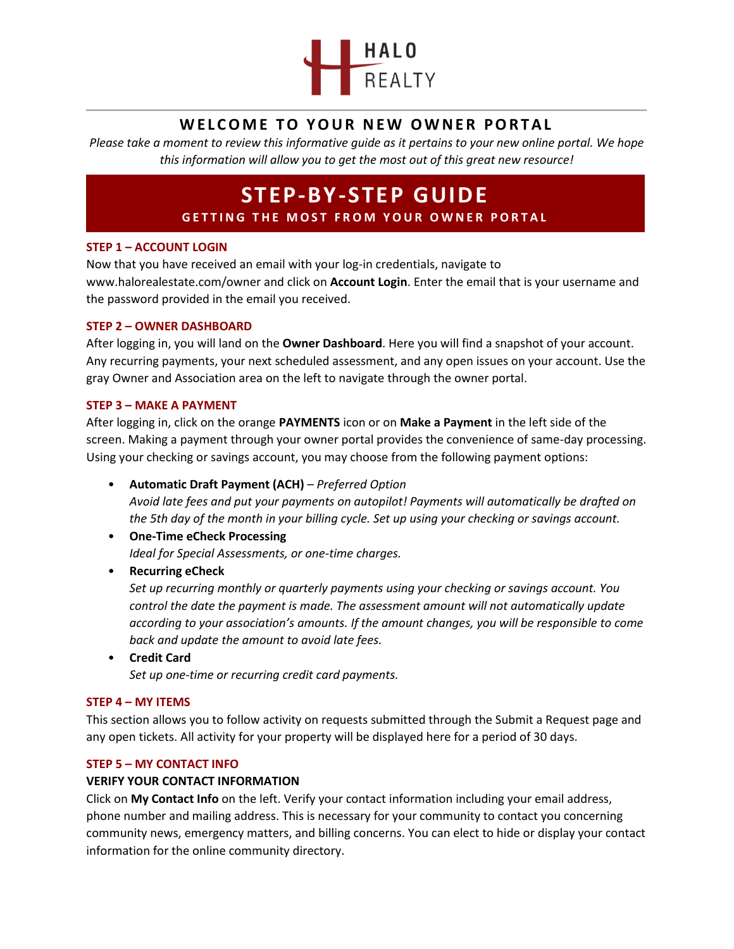

# **WELCOME TO YOUR NEW OWNER PORTAL**

*Please take a moment to review this informative guide as it pertains to your new online portal. We hope this information will allow you to get the most out of this great new resource!*

# **STEP-BY-STEP GUIDE**

**GETTING THE MOST FROM YOUR OWNER PORTAL** 

# **STEP 1 – ACCOUNT LOGIN**

Now that you have received an email with your log-in credentials, navigate to www.halorealestate.com/owner and click on **Account Login**. Enter the email that is your username and the password provided in the email you received.

## **STEP 2 – OWNER DASHBOARD**

After logging in, you will land on the **Owner Dashboard**. Here you will find a snapshot of your account. Any recurring payments, your next scheduled assessment, and any open issues on your account. Use the gray Owner and Association area on the left to navigate through the owner portal.

# **STEP 3 – MAKE A PAYMENT**

After logging in, click on the orange **PAYMENTS** icon or on **Make a Payment** in the left side of the screen. Making a payment through your owner portal provides the convenience of same-day processing. Using your checking or savings account, you may choose from the following payment options:

- **Automatic Draft Payment (ACH)** *Preferred Option Avoid late fees and put your payments on autopilot! Payments will automatically be drafted on the 5th day of the month in your billing cycle. Set up using your checking or savings account.*
- **One-Time eCheck Processing** *Ideal for Special Assessments, or one-time charges.*
- **Recurring eCheck**

*Set up recurring monthly or quarterly payments using your checking or savings account. You control the date the payment is made. The assessment amount will not automatically update according to your association's amounts. If the amount changes, you will be responsible to come back and update the amount to avoid late fees.*

• **Credit Card** *Set up one-time or recurring credit card payments.*

## **STEP 4 – MY ITEMS**

This section allows you to follow activity on requests submitted through the Submit a Request page and any open tickets. All activity for your property will be displayed here for a period of 30 days.

## **STEP 5 – MY CONTACT INFO**

# **VERIFY YOUR CONTACT INFORMATION**

Click on **My Contact Info** on the left. Verify your contact information including your email address, phone number and mailing address. This is necessary for your community to contact you concerning community news, emergency matters, and billing concerns. You can elect to hide or display your contact information for the online community directory.